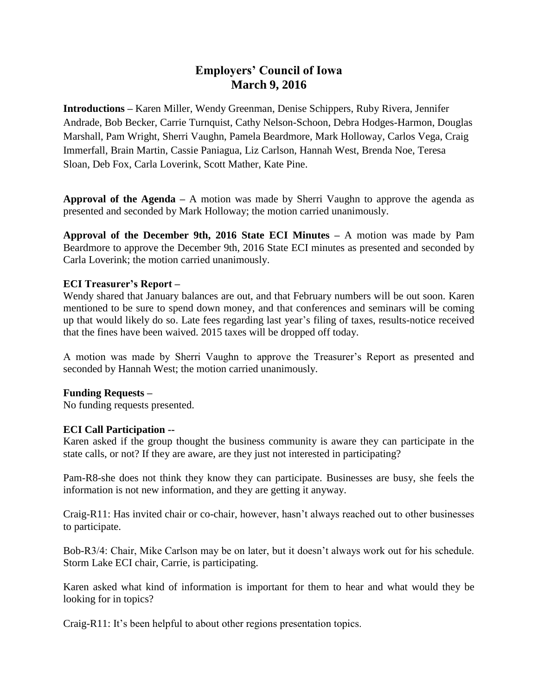# **Employers' Council of Iowa March 9, 2016**

**Introductions –** Karen Miller, Wendy Greenman, Denise Schippers, Ruby Rivera, Jennifer Andrade, Bob Becker, Carrie Turnquist, Cathy Nelson-Schoon, Debra Hodges-Harmon, Douglas Marshall, Pam Wright, Sherri Vaughn, Pamela Beardmore, Mark Holloway, Carlos Vega, Craig Immerfall, Brain Martin, Cassie Paniagua, Liz Carlson, Hannah West, Brenda Noe, Teresa Sloan, Deb Fox, Carla Loverink, Scott Mather, Kate Pine.

**Approval of the Agenda –** A motion was made by Sherri Vaughn to approve the agenda as presented and seconded by Mark Holloway; the motion carried unanimously.

**Approval of the December 9th, 2016 State ECI Minutes –** A motion was made by Pam Beardmore to approve the December 9th, 2016 State ECI minutes as presented and seconded by Carla Loverink; the motion carried unanimously.

### **ECI Treasurer's Report –**

Wendy shared that January balances are out, and that February numbers will be out soon. Karen mentioned to be sure to spend down money, and that conferences and seminars will be coming up that would likely do so. Late fees regarding last year's filing of taxes, results-notice received that the fines have been waived. 2015 taxes will be dropped off today.

A motion was made by Sherri Vaughn to approve the Treasurer's Report as presented and seconded by Hannah West; the motion carried unanimously.

#### **Funding Requests –**

No funding requests presented.

#### **ECI Call Participation --**

Karen asked if the group thought the business community is aware they can participate in the state calls, or not? If they are aware, are they just not interested in participating?

Pam-R8-she does not think they know they can participate. Businesses are busy, she feels the information is not new information, and they are getting it anyway.

Craig-R11: Has invited chair or co-chair, however, hasn't always reached out to other businesses to participate.

Bob-R3/4: Chair, Mike Carlson may be on later, but it doesn't always work out for his schedule. Storm Lake ECI chair, Carrie, is participating.

Karen asked what kind of information is important for them to hear and what would they be looking for in topics?

Craig-R11: It's been helpful to about other regions presentation topics.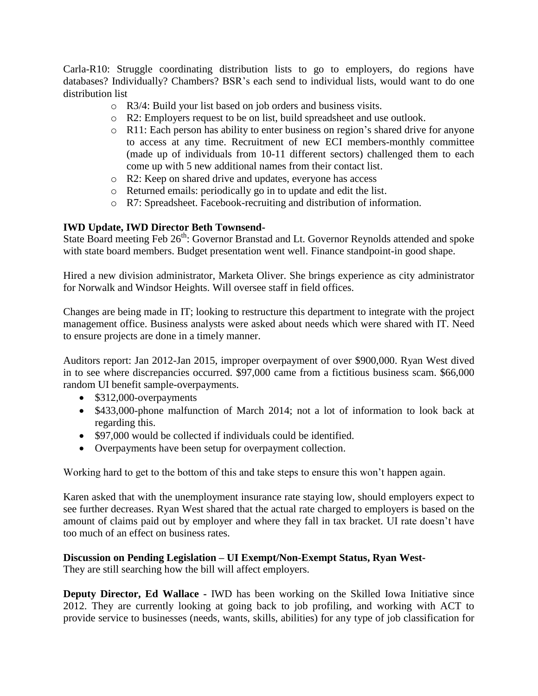Carla-R10: Struggle coordinating distribution lists to go to employers, do regions have databases? Individually? Chambers? BSR's each send to individual lists, would want to do one distribution list

- o R3/4: Build your list based on job orders and business visits.
- o R2: Employers request to be on list, build spreadsheet and use outlook.
- o R11: Each person has ability to enter business on region's shared drive for anyone to access at any time. Recruitment of new ECI members-monthly committee (made up of individuals from 10-11 different sectors) challenged them to each come up with 5 new additional names from their contact list.
- o R2: Keep on shared drive and updates, everyone has access
- o Returned emails: periodically go in to update and edit the list.
- o R7: Spreadsheet. Facebook-recruiting and distribution of information.

# **IWD Update, IWD Director Beth Townsend-**

State Board meeting Feb 26<sup>th</sup>: Governor Branstad and Lt. Governor Reynolds attended and spoke with state board members. Budget presentation went well. Finance standpoint-in good shape.

Hired a new division administrator, Marketa Oliver. She brings experience as city administrator for Norwalk and Windsor Heights. Will oversee staff in field offices.

Changes are being made in IT; looking to restructure this department to integrate with the project management office. Business analysts were asked about needs which were shared with IT. Need to ensure projects are done in a timely manner.

Auditors report: Jan 2012-Jan 2015, improper overpayment of over \$900,000. Ryan West dived in to see where discrepancies occurred. \$97,000 came from a fictitious business scam. \$66,000 random UI benefit sample-overpayments.

- \$312,000-overpayments
- \$433,000-phone malfunction of March 2014; not a lot of information to look back at regarding this.
- \$97,000 would be collected if individuals could be identified.
- Overpayments have been setup for overpayment collection.

Working hard to get to the bottom of this and take steps to ensure this won't happen again.

Karen asked that with the unemployment insurance rate staying low, should employers expect to see further decreases. Ryan West shared that the actual rate charged to employers is based on the amount of claims paid out by employer and where they fall in tax bracket. UI rate doesn't have too much of an effect on business rates.

### **Discussion on Pending Legislation – UI Exempt/Non-Exempt Status, Ryan West-**

They are still searching how the bill will affect employers.

**Deputy Director, Ed Wallace -** IWD has been working on the Skilled Iowa Initiative since 2012. They are currently looking at going back to job profiling, and working with ACT to provide service to businesses (needs, wants, skills, abilities) for any type of job classification for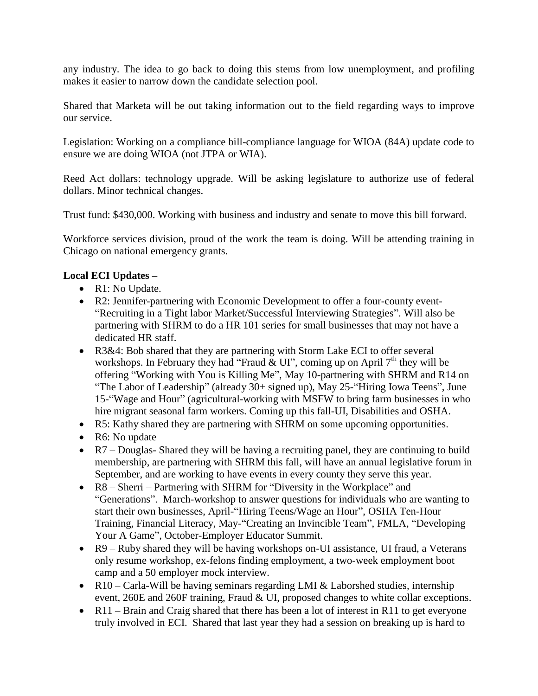any industry. The idea to go back to doing this stems from low unemployment, and profiling makes it easier to narrow down the candidate selection pool.

Shared that Marketa will be out taking information out to the field regarding ways to improve our service.

Legislation: Working on a compliance bill-compliance language for WIOA (84A) update code to ensure we are doing WIOA (not JTPA or WIA).

Reed Act dollars: technology upgrade. Will be asking legislature to authorize use of federal dollars. Minor technical changes.

Trust fund: \$430,000. Working with business and industry and senate to move this bill forward.

Workforce services division, proud of the work the team is doing. Will be attending training in Chicago on national emergency grants.

# **Local ECI Updates –**

- R1: No Update.
- R2: Jennifer-partnering with Economic Development to offer a four-county event- "Recruiting in a Tight labor Market/Successful Interviewing Strategies". Will also be partnering with SHRM to do a HR 101 series for small businesses that may not have a dedicated HR staff.
- R3&4: Bob shared that they are partnering with Storm Lake ECI to offer several workshops. In February they had "Fraud & UI", coming up on April  $7<sup>th</sup>$  they will be offering "Working with You is Killing Me", May 10-partnering with SHRM and R14 on "The Labor of Leadership" (already 30+ signed up), May 25-"Hiring Iowa Teens", June 15-"Wage and Hour" (agricultural-working with MSFW to bring farm businesses in who hire migrant seasonal farm workers. Coming up this fall-UI, Disabilities and OSHA.
- R5: Kathy shared they are partnering with SHRM on some upcoming opportunities.
- R6: No update
- R7 Douglas- Shared they will be having a recruiting panel, they are continuing to build membership, are partnering with SHRM this fall, will have an annual legislative forum in September, and are working to have events in every county they serve this year.
- R8 Sherri Partnering with SHRM for "Diversity in the Workplace" and "Generations". March-workshop to answer questions for individuals who are wanting to start their own businesses, April-"Hiring Teens/Wage an Hour", OSHA Ten-Hour Training, Financial Literacy, May-"Creating an Invincible Team", FMLA, "Developing Your A Game", October-Employer Educator Summit.
- R9 Ruby shared they will be having workshops on-UI assistance, UI fraud, a Veterans only resume workshop, ex-felons finding employment, a two-week employment boot camp and a 50 employer mock interview.
- R10 Carla-Will be having seminars regarding LMI & Laborshed studies, internship event, 260E and 260F training, Fraud & UI, proposed changes to white collar exceptions.
- R11 Brain and Craig shared that there has been a lot of interest in R11 to get everyone truly involved in ECI. Shared that last year they had a session on breaking up is hard to